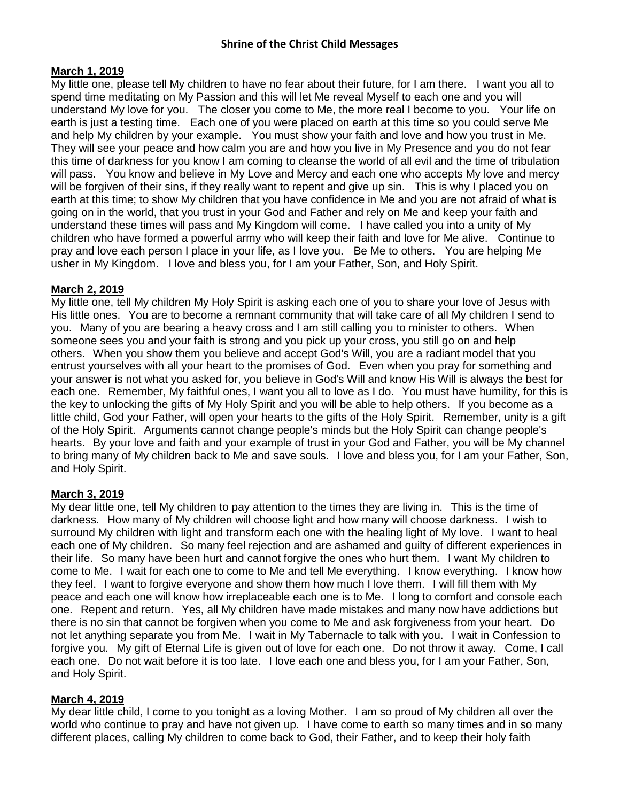#### **March 1, 2019**

My little one, please tell My children to have no fear about their future, for I am there. I want you all to spend time meditating on My Passion and this will let Me reveal Myself to each one and you will understand My love for you. The closer you come to Me, the more real I become to you. Your life on earth is just a testing time. Each one of you were placed on earth at this time so you could serve Me and help My children by your example. You must show your faith and love and how you trust in Me. They will see your peace and how calm you are and how you live in My Presence and you do not fear this time of darkness for you know I am coming to cleanse the world of all evil and the time of tribulation will pass. You know and believe in My Love and Mercy and each one who accepts My love and mercy will be forgiven of their sins, if they really want to repent and give up sin. This is why I placed you on earth at this time; to show My children that you have confidence in Me and you are not afraid of what is going on in the world, that you trust in your God and Father and rely on Me and keep your faith and understand these times will pass and My Kingdom will come. I have called you into a unity of My children who have formed a powerful army who will keep their faith and love for Me alive. Continue to pray and love each person I place in your life, as I love you. Be Me to others. You are helping Me usher in My Kingdom. I love and bless you, for I am your Father, Son, and Holy Spirit.

#### **March 2, 2019**

My little one, tell My children My Holy Spirit is asking each one of you to share your love of Jesus with His little ones. You are to become a remnant community that will take care of all My children I send to you. Many of you are bearing a heavy cross and I am still calling you to minister to others. When someone sees you and your faith is strong and you pick up your cross, you still go on and help others. When you show them you believe and accept God's Will, you are a radiant model that you entrust yourselves with all your heart to the promises of God. Even when you pray for something and your answer is not what you asked for, you believe in God's Will and know His Will is always the best for each one. Remember, My faithful ones, I want you all to love as I do. You must have humility, for this is the key to unlocking the gifts of My Holy Spirit and you will be able to help others. If you become as a little child, God your Father, will open your hearts to the gifts of the Holy Spirit. Remember, unity is a gift of the Holy Spirit. Arguments cannot change people's minds but the Holy Spirit can change people's hearts. By your love and faith and your example of trust in your God and Father, you will be My channel to bring many of My children back to Me and save souls. I love and bless you, for I am your Father, Son, and Holy Spirit.

#### **March 3, 2019**

My dear little one, tell My children to pay attention to the times they are living in. This is the time of darkness. How many of My children will choose light and how many will choose darkness. I wish to surround My children with light and transform each one with the healing light of My love. I want to heal each one of My children. So many feel rejection and are ashamed and guilty of different experiences in their life. So many have been hurt and cannot forgive the ones who hurt them. I want My children to come to Me. I wait for each one to come to Me and tell Me everything. I know everything. I know how they feel. I want to forgive everyone and show them how much I love them. I will fill them with My peace and each one will know how irreplaceable each one is to Me. I long to comfort and console each one. Repent and return. Yes, all My children have made mistakes and many now have addictions but there is no sin that cannot be forgiven when you come to Me and ask forgiveness from your heart. Do not let anything separate you from Me. I wait in My Tabernacle to talk with you. I wait in Confession to forgive you. My gift of Eternal Life is given out of love for each one. Do not throw it away. Come, I call each one. Do not wait before it is too late. I love each one and bless you, for I am your Father, Son, and Holy Spirit.

#### **March 4, 2019**

My dear little child, I come to you tonight as a loving Mother. I am so proud of My children all over the world who continue to pray and have not given up. I have come to earth so many times and in so many different places, calling My children to come back to God, their Father, and to keep their holy faith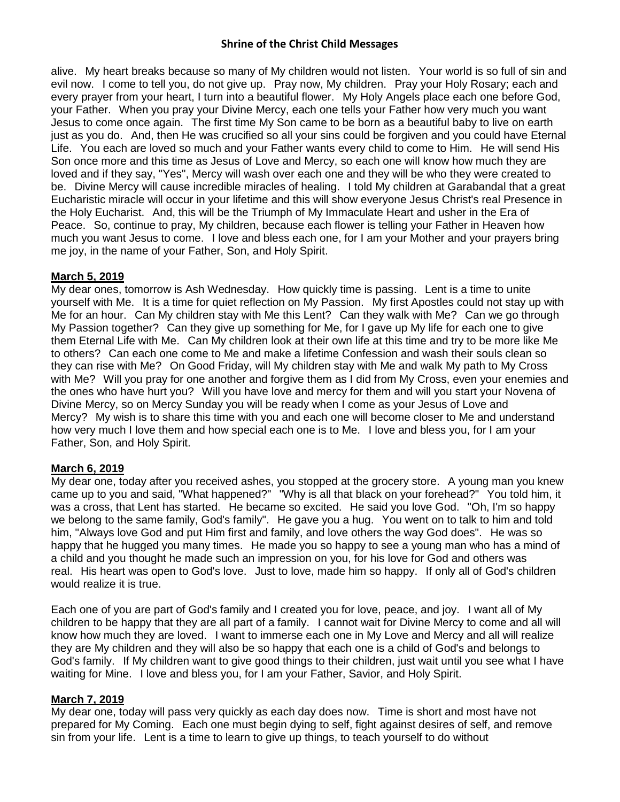alive. My heart breaks because so many of My children would not listen. Your world is so full of sin and evil now. I come to tell you, do not give up. Pray now, My children. Pray your Holy Rosary; each and every prayer from your heart, I turn into a beautiful flower. My Holy Angels place each one before God, your Father. When you pray your Divine Mercy, each one tells your Father how very much you want Jesus to come once again. The first time My Son came to be born as a beautiful baby to live on earth just as you do. And, then He was crucified so all your sins could be forgiven and you could have Eternal Life. You each are loved so much and your Father wants every child to come to Him. He will send His Son once more and this time as Jesus of Love and Mercy, so each one will know how much they are loved and if they say, "Yes", Mercy will wash over each one and they will be who they were created to be. Divine Mercy will cause incredible miracles of healing. I told My children at Garabandal that a great Eucharistic miracle will occur in your lifetime and this will show everyone Jesus Christ's real Presence in the Holy Eucharist. And, this will be the Triumph of My Immaculate Heart and usher in the Era of Peace. So, continue to pray, My children, because each flower is telling your Father in Heaven how much you want Jesus to come. I love and bless each one, for I am your Mother and your prayers bring me joy, in the name of your Father, Son, and Holy Spirit.

### **March 5, 2019**

My dear ones, tomorrow is Ash Wednesday. How quickly time is passing. Lent is a time to unite yourself with Me. It is a time for quiet reflection on My Passion. My first Apostles could not stay up with Me for an hour. Can My children stay with Me this Lent? Can they walk with Me? Can we go through My Passion together? Can they give up something for Me, for I gave up My life for each one to give them Eternal Life with Me. Can My children look at their own life at this time and try to be more like Me to others? Can each one come to Me and make a lifetime Confession and wash their souls clean so they can rise with Me? On Good Friday, will My children stay with Me and walk My path to My Cross with Me? Will you pray for one another and forgive them as I did from My Cross, even your enemies and the ones who have hurt you? Will you have love and mercy for them and will you start your Novena of Divine Mercy, so on Mercy Sunday you will be ready when I come as your Jesus of Love and Mercy? My wish is to share this time with you and each one will become closer to Me and understand how very much I love them and how special each one is to Me. I love and bless you, for I am your Father, Son, and Holy Spirit.

## **March 6, 2019**

My dear one, today after you received ashes, you stopped at the grocery store. A young man you knew came up to you and said, "What happened?" "Why is all that black on your forehead?" You told him, it was a cross, that Lent has started. He became so excited. He said you love God. "Oh, I'm so happy we belong to the same family, God's family". He gave you a hug. You went on to talk to him and told him, "Always love God and put Him first and family, and love others the way God does". He was so happy that he hugged you many times. He made you so happy to see a young man who has a mind of a child and you thought he made such an impression on you, for his love for God and others was real. His heart was open to God's love. Just to love, made him so happy. If only all of God's children would realize it is true.

Each one of you are part of God's family and I created you for love, peace, and joy. I want all of My children to be happy that they are all part of a family. I cannot wait for Divine Mercy to come and all will know how much they are loved. I want to immerse each one in My Love and Mercy and all will realize they are My children and they will also be so happy that each one is a child of God's and belongs to God's family. If My children want to give good things to their children, just wait until you see what I have waiting for Mine. I love and bless you, for I am your Father, Savior, and Holy Spirit.

#### **March 7, 2019**

My dear one, today will pass very quickly as each day does now. Time is short and most have not prepared for My Coming. Each one must begin dying to self, fight against desires of self, and remove sin from your life. Lent is a time to learn to give up things, to teach yourself to do without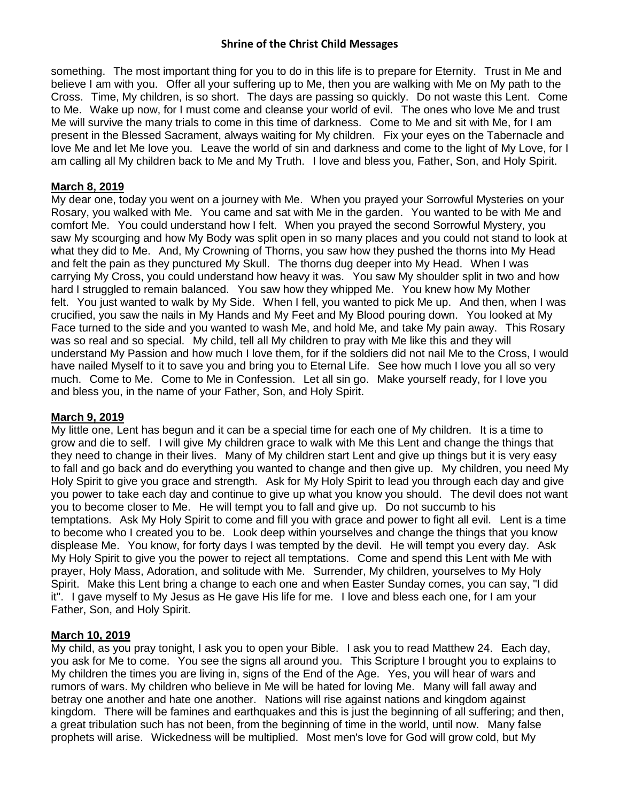something. The most important thing for you to do in this life is to prepare for Eternity. Trust in Me and believe I am with you. Offer all your suffering up to Me, then you are walking with Me on My path to the Cross. Time, My children, is so short. The days are passing so quickly. Do not waste this Lent. Come to Me. Wake up now, for I must come and cleanse your world of evil. The ones who love Me and trust Me will survive the many trials to come in this time of darkness. Come to Me and sit with Me, for I am present in the Blessed Sacrament, always waiting for My children. Fix your eyes on the Tabernacle and love Me and let Me love you. Leave the world of sin and darkness and come to the light of My Love, for I am calling all My children back to Me and My Truth. I love and bless you, Father, Son, and Holy Spirit.

### **March 8, 2019**

My dear one, today you went on a journey with Me. When you prayed your Sorrowful Mysteries on your Rosary, you walked with Me. You came and sat with Me in the garden. You wanted to be with Me and comfort Me. You could understand how I felt. When you prayed the second Sorrowful Mystery, you saw My scourging and how My Body was split open in so many places and you could not stand to look at what they did to Me. And, My Crowning of Thorns, you saw how they pushed the thorns into My Head and felt the pain as they punctured My Skull. The thorns dug deeper into My Head. When I was carrying My Cross, you could understand how heavy it was. You saw My shoulder split in two and how hard I struggled to remain balanced. You saw how they whipped Me. You knew how My Mother felt. You just wanted to walk by My Side. When I fell, you wanted to pick Me up. And then, when I was crucified, you saw the nails in My Hands and My Feet and My Blood pouring down. You looked at My Face turned to the side and you wanted to wash Me, and hold Me, and take My pain away. This Rosary was so real and so special. My child, tell all My children to pray with Me like this and they will understand My Passion and how much I love them, for if the soldiers did not nail Me to the Cross, I would have nailed Myself to it to save you and bring you to Eternal Life. See how much I love you all so very much. Come to Me. Come to Me in Confession. Let all sin go. Make yourself ready, for I love you and bless you, in the name of your Father, Son, and Holy Spirit.

#### **March 9, 2019**

My little one, Lent has begun and it can be a special time for each one of My children. It is a time to grow and die to self. I will give My children grace to walk with Me this Lent and change the things that they need to change in their lives. Many of My children start Lent and give up things but it is very easy to fall and go back and do everything you wanted to change and then give up. My children, you need My Holy Spirit to give you grace and strength. Ask for My Holy Spirit to lead you through each day and give you power to take each day and continue to give up what you know you should. The devil does not want you to become closer to Me. He will tempt you to fall and give up. Do not succumb to his temptations. Ask My Holy Spirit to come and fill you with grace and power to fight all evil. Lent is a time to become who I created you to be. Look deep within yourselves and change the things that you know displease Me. You know, for forty days I was tempted by the devil. He will tempt you every day. Ask My Holy Spirit to give you the power to reject all temptations. Come and spend this Lent with Me with prayer, Holy Mass, Adoration, and solitude with Me. Surrender, My children, yourselves to My Holy Spirit. Make this Lent bring a change to each one and when Easter Sunday comes, you can say, "I did it". I gave myself to My Jesus as He gave His life for me. I love and bless each one, for I am your Father, Son, and Holy Spirit.

## **March 10, 2019**

My child, as you pray tonight, I ask you to open your Bible. I ask you to read Matthew 24. Each day, you ask for Me to come. You see the signs all around you. This Scripture I brought you to explains to My children the times you are living in, signs of the End of the Age. Yes, you will hear of wars and rumors of wars. My children who believe in Me will be hated for loving Me. Many will fall away and betray one another and hate one another. Nations will rise against nations and kingdom against kingdom. There will be famines and earthquakes and this is just the beginning of all suffering; and then, a great tribulation such has not been, from the beginning of time in the world, until now. Many false prophets will arise. Wickedness will be multiplied. Most men's love for God will grow cold, but My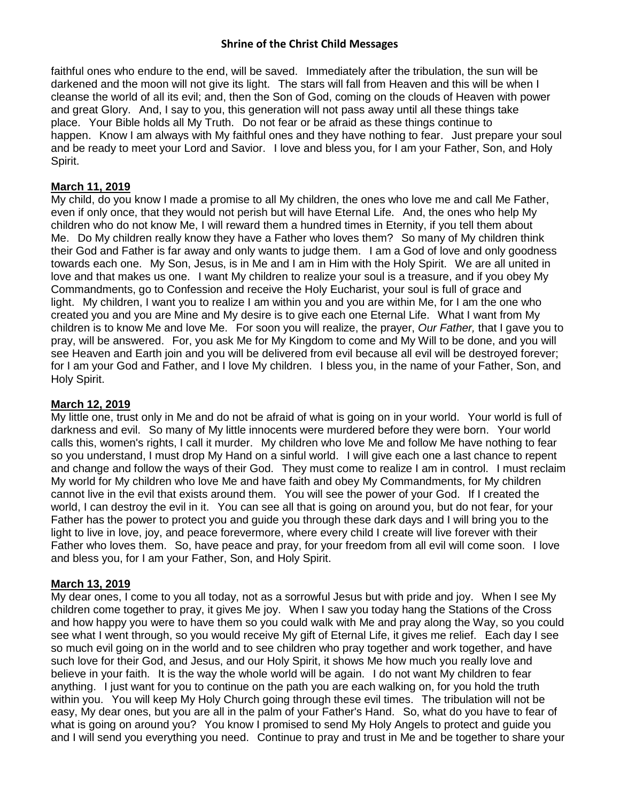faithful ones who endure to the end, will be saved. Immediately after the tribulation, the sun will be darkened and the moon will not give its light. The stars will fall from Heaven and this will be when I cleanse the world of all its evil; and, then the Son of God, coming on the clouds of Heaven with power and great Glory. And, I say to you, this generation will not pass away until all these things take place. Your Bible holds all My Truth. Do not fear or be afraid as these things continue to happen. Know I am always with My faithful ones and they have nothing to fear. Just prepare your soul and be ready to meet your Lord and Savior. I love and bless you, for I am your Father, Son, and Holy Spirit.

#### **March 11, 2019**

My child, do you know I made a promise to all My children, the ones who love me and call Me Father, even if only once, that they would not perish but will have Eternal Life. And, the ones who help My children who do not know Me, I will reward them a hundred times in Eternity, if you tell them about Me. Do My children really know they have a Father who loves them? So many of My children think their God and Father is far away and only wants to judge them. I am a God of love and only goodness towards each one. My Son, Jesus, is in Me and I am in Him with the Holy Spirit. We are all united in love and that makes us one. I want My children to realize your soul is a treasure, and if you obey My Commandments, go to Confession and receive the Holy Eucharist, your soul is full of grace and light. My children, I want you to realize I am within you and you are within Me, for I am the one who created you and you are Mine and My desire is to give each one Eternal Life. What I want from My children is to know Me and love Me. For soon you will realize, the prayer, *Our Father,* that I gave you to pray, will be answered. For, you ask Me for My Kingdom to come and My Will to be done, and you will see Heaven and Earth join and you will be delivered from evil because all evil will be destroyed forever; for I am your God and Father, and I love My children. I bless you, in the name of your Father, Son, and Holy Spirit.

#### **March 12, 2019**

My little one, trust only in Me and do not be afraid of what is going on in your world. Your world is full of darkness and evil. So many of My little innocents were murdered before they were born. Your world calls this, women's rights, I call it murder. My children who love Me and follow Me have nothing to fear so you understand, I must drop My Hand on a sinful world. I will give each one a last chance to repent and change and follow the ways of their God. They must come to realize I am in control. I must reclaim My world for My children who love Me and have faith and obey My Commandments, for My children cannot live in the evil that exists around them. You will see the power of your God. If I created the world, I can destroy the evil in it. You can see all that is going on around you, but do not fear, for your Father has the power to protect you and guide you through these dark days and I will bring you to the light to live in love, joy, and peace forevermore, where every child I create will live forever with their Father who loves them. So, have peace and pray, for your freedom from all evil will come soon. I love and bless you, for I am your Father, Son, and Holy Spirit.

#### **March 13, 2019**

My dear ones, I come to you all today, not as a sorrowful Jesus but with pride and joy. When I see My children come together to pray, it gives Me joy. When I saw you today hang the Stations of the Cross and how happy you were to have them so you could walk with Me and pray along the Way, so you could see what I went through, so you would receive My gift of Eternal Life, it gives me relief. Each day I see so much evil going on in the world and to see children who pray together and work together, and have such love for their God, and Jesus, and our Holy Spirit, it shows Me how much you really love and believe in your faith. It is the way the whole world will be again. I do not want My children to fear anything. I just want for you to continue on the path you are each walking on, for you hold the truth within you. You will keep My Holy Church going through these evil times. The tribulation will not be easy, My dear ones, but you are all in the palm of your Father's Hand. So, what do you have to fear of what is going on around you? You know I promised to send My Holy Angels to protect and guide you and I will send you everything you need. Continue to pray and trust in Me and be together to share your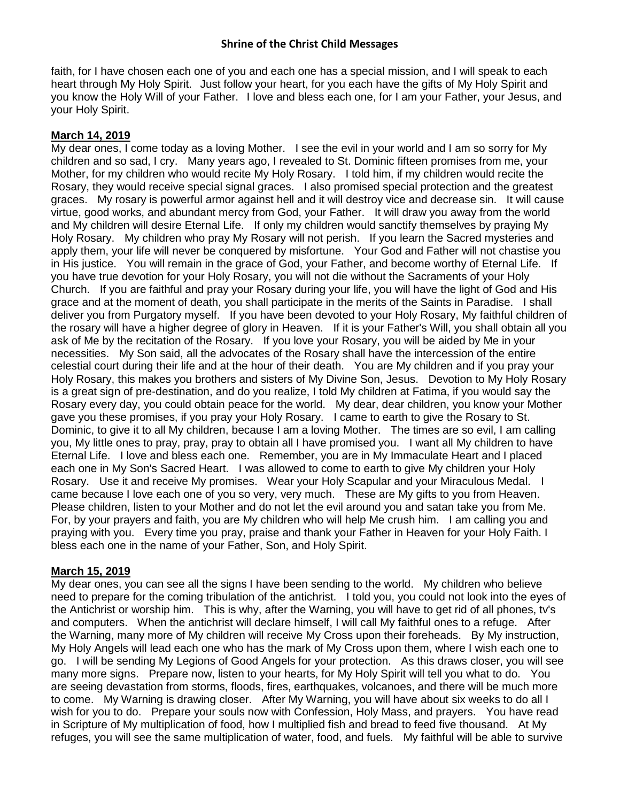faith, for I have chosen each one of you and each one has a special mission, and I will speak to each heart through My Holy Spirit. Just follow your heart, for you each have the gifts of My Holy Spirit and you know the Holy Will of your Father. I love and bless each one, for I am your Father, your Jesus, and your Holy Spirit.

## **March 14, 2019**

My dear ones, I come today as a loving Mother. I see the evil in your world and I am so sorry for My children and so sad, I cry. Many years ago, I revealed to St. Dominic fifteen promises from me, your Mother, for my children who would recite My Holy Rosary. I told him, if my children would recite the Rosary, they would receive special signal graces. I also promised special protection and the greatest graces. My rosary is powerful armor against hell and it will destroy vice and decrease sin. It will cause virtue, good works, and abundant mercy from God, your Father. It will draw you away from the world and My children will desire Eternal Life. If only my children would sanctify themselves by praying My Holy Rosary. My children who pray My Rosary will not perish. If you learn the Sacred mysteries and apply them, your life will never be conquered by misfortune. Your God and Father will not chastise you in His justice. You will remain in the grace of God, your Father, and become worthy of Eternal Life. If you have true devotion for your Holy Rosary, you will not die without the Sacraments of your Holy Church. If you are faithful and pray your Rosary during your life, you will have the light of God and His grace and at the moment of death, you shall participate in the merits of the Saints in Paradise. I shall deliver you from Purgatory myself. If you have been devoted to your Holy Rosary, My faithful children of the rosary will have a higher degree of glory in Heaven. If it is your Father's Will, you shall obtain all you ask of Me by the recitation of the Rosary. If you love your Rosary, you will be aided by Me in your necessities. My Son said, all the advocates of the Rosary shall have the intercession of the entire celestial court during their life and at the hour of their death. You are My children and if you pray your Holy Rosary, this makes you brothers and sisters of My Divine Son, Jesus. Devotion to My Holy Rosary is a great sign of pre-destination, and do you realize, I told My children at Fatima, if you would say the Rosary every day, you could obtain peace for the world. My dear, dear children, you know your Mother gave you these promises, if you pray your Holy Rosary. I came to earth to give the Rosary to St. Dominic, to give it to all My children, because I am a loving Mother. The times are so evil, I am calling you, My little ones to pray, pray, pray to obtain all I have promised you. I want all My children to have Eternal Life. I love and bless each one. Remember, you are in My Immaculate Heart and I placed each one in My Son's Sacred Heart. I was allowed to come to earth to give My children your Holy Rosary. Use it and receive My promises. Wear your Holy Scapular and your Miraculous Medal. I came because I love each one of you so very, very much. These are My gifts to you from Heaven. Please children, listen to your Mother and do not let the evil around you and satan take you from Me. For, by your prayers and faith, you are My children who will help Me crush him. I am calling you and praying with you. Every time you pray, praise and thank your Father in Heaven for your Holy Faith. I bless each one in the name of your Father, Son, and Holy Spirit.

# **March 15, 2019**

My dear ones, you can see all the signs I have been sending to the world. My children who believe need to prepare for the coming tribulation of the antichrist. I told you, you could not look into the eyes of the Antichrist or worship him. This is why, after the Warning, you will have to get rid of all phones, tv's and computers. When the antichrist will declare himself, I will call My faithful ones to a refuge. After the Warning, many more of My children will receive My Cross upon their foreheads. By My instruction, My Holy Angels will lead each one who has the mark of My Cross upon them, where I wish each one to go. I will be sending My Legions of Good Angels for your protection. As this draws closer, you will see many more signs. Prepare now, listen to your hearts, for My Holy Spirit will tell you what to do. You are seeing devastation from storms, floods, fires, earthquakes, volcanoes, and there will be much more to come. My Warning is drawing closer. After My Warning, you will have about six weeks to do all I wish for you to do. Prepare your souls now with Confession, Holy Mass, and prayers. You have read in Scripture of My multiplication of food, how I multiplied fish and bread to feed five thousand. At My refuges, you will see the same multiplication of water, food, and fuels. My faithful will be able to survive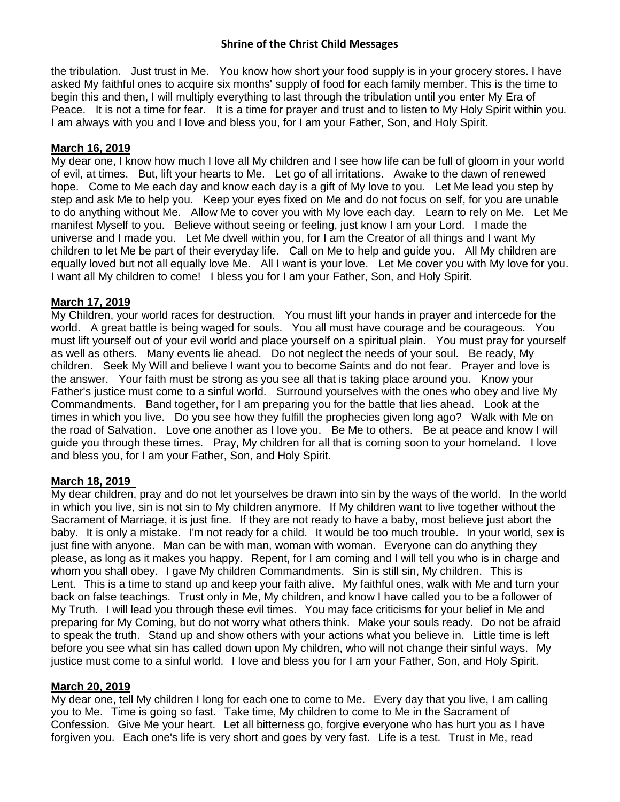the tribulation. Just trust in Me. You know how short your food supply is in your grocery stores. I have asked My faithful ones to acquire six months' supply of food for each family member. This is the time to begin this and then, I will multiply everything to last through the tribulation until you enter My Era of Peace. It is not a time for fear. It is a time for prayer and trust and to listen to My Holy Spirit within you. I am always with you and I love and bless you, for I am your Father, Son, and Holy Spirit.

#### **March 16, 2019**

My dear one, I know how much I love all My children and I see how life can be full of gloom in your world of evil, at times. But, lift your hearts to Me. Let go of all irritations. Awake to the dawn of renewed hope. Come to Me each day and know each day is a gift of My love to you. Let Me lead you step by step and ask Me to help you. Keep your eyes fixed on Me and do not focus on self, for you are unable to do anything without Me. Allow Me to cover you with My love each day. Learn to rely on Me. Let Me manifest Myself to you. Believe without seeing or feeling, just know I am your Lord. I made the universe and I made you. Let Me dwell within you, for I am the Creator of all things and I want My children to let Me be part of their everyday life. Call on Me to help and guide you. All My children are equally loved but not all equally love Me. All I want is your love. Let Me cover you with My love for you. I want all My children to come! I bless you for I am your Father, Son, and Holy Spirit.

### **March 17, 2019**

My Children, your world races for destruction. You must lift your hands in prayer and intercede for the world. A great battle is being waged for souls. You all must have courage and be courageous. You must lift yourself out of your evil world and place yourself on a spiritual plain. You must pray for yourself as well as others. Many events lie ahead. Do not neglect the needs of your soul. Be ready, My children. Seek My Will and believe I want you to become Saints and do not fear. Prayer and love is the answer. Your faith must be strong as you see all that is taking place around you. Know your Father's justice must come to a sinful world. Surround yourselves with the ones who obey and live My Commandments. Band together, for I am preparing you for the battle that lies ahead. Look at the times in which you live. Do you see how they fulfill the prophecies given long ago? Walk with Me on the road of Salvation. Love one another as I love you. Be Me to others. Be at peace and know I will guide you through these times. Pray, My children for all that is coming soon to your homeland. I love and bless you, for I am your Father, Son, and Holy Spirit.

## **March 18, 2019**

My dear children, pray and do not let yourselves be drawn into sin by the ways of the world. In the world in which you live, sin is not sin to My children anymore. If My children want to live together without the Sacrament of Marriage, it is just fine. If they are not ready to have a baby, most believe just abort the baby. It is only a mistake. I'm not ready for a child. It would be too much trouble. In your world, sex is just fine with anyone. Man can be with man, woman with woman. Everyone can do anything they please, as long as it makes you happy. Repent, for I am coming and I will tell you who is in charge and whom you shall obey. I gave My children Commandments. Sin is still sin, My children. This is Lent. This is a time to stand up and keep your faith alive. My faithful ones, walk with Me and turn your back on false teachings. Trust only in Me, My children, and know I have called you to be a follower of My Truth. I will lead you through these evil times. You may face criticisms for your belief in Me and preparing for My Coming, but do not worry what others think. Make your souls ready. Do not be afraid to speak the truth. Stand up and show others with your actions what you believe in. Little time is left before you see what sin has called down upon My children, who will not change their sinful ways. My justice must come to a sinful world. I love and bless you for I am your Father, Son, and Holy Spirit.

#### **March 20, 2019**

My dear one, tell My children I long for each one to come to Me. Every day that you live, I am calling you to Me. Time is going so fast. Take time, My children to come to Me in the Sacrament of Confession. Give Me your heart. Let all bitterness go, forgive everyone who has hurt you as I have forgiven you. Each one's life is very short and goes by very fast. Life is a test. Trust in Me, read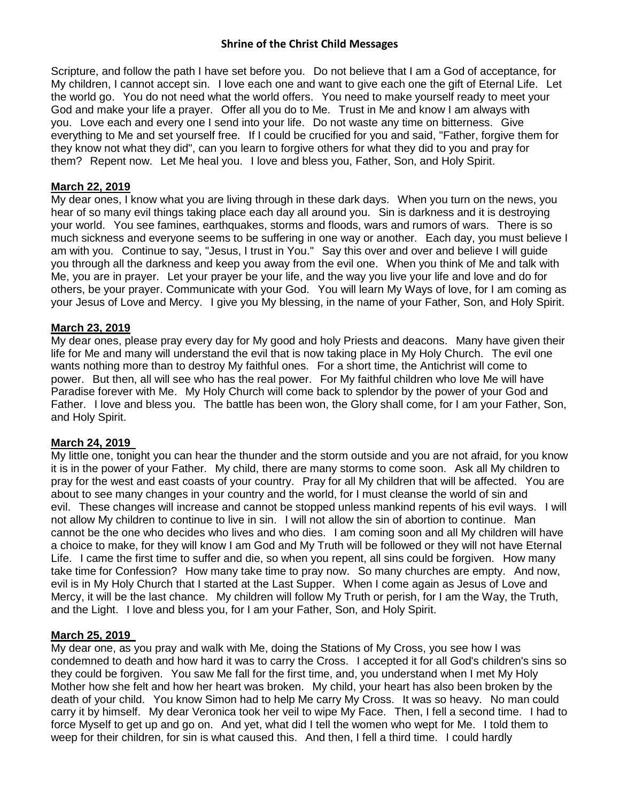Scripture, and follow the path I have set before you. Do not believe that I am a God of acceptance, for My children, I cannot accept sin. I love each one and want to give each one the gift of Eternal Life. Let the world go. You do not need what the world offers. You need to make yourself ready to meet your God and make your life a prayer. Offer all you do to Me. Trust in Me and know I am always with you. Love each and every one I send into your life. Do not waste any time on bitterness. Give everything to Me and set yourself free. If I could be crucified for you and said, "Father, forgive them for they know not what they did", can you learn to forgive others for what they did to you and pray for them? Repent now. Let Me heal you. I love and bless you, Father, Son, and Holy Spirit.

### **March 22, 2019**

My dear ones, I know what you are living through in these dark days. When you turn on the news, you hear of so many evil things taking place each day all around you. Sin is darkness and it is destroying your world. You see famines, earthquakes, storms and floods, wars and rumors of wars. There is so much sickness and everyone seems to be suffering in one way or another. Each day, you must believe I am with you. Continue to say, "Jesus, I trust in You." Say this over and over and believe I will guide you through all the darkness and keep you away from the evil one. When you think of Me and talk with Me, you are in prayer. Let your prayer be your life, and the way you live your life and love and do for others, be your prayer. Communicate with your God. You will learn My Ways of love, for I am coming as your Jesus of Love and Mercy. I give you My blessing, in the name of your Father, Son, and Holy Spirit.

### **March 23, 2019**

My dear ones, please pray every day for My good and holy Priests and deacons. Many have given their life for Me and many will understand the evil that is now taking place in My Holy Church. The evil one wants nothing more than to destroy My faithful ones. For a short time, the Antichrist will come to power. But then, all will see who has the real power. For My faithful children who love Me will have Paradise forever with Me. My Holy Church will come back to splendor by the power of your God and Father. I love and bless you. The battle has been won, the Glory shall come, for I am your Father, Son, and Holy Spirit.

#### **March 24, 2019**

My little one, tonight you can hear the thunder and the storm outside and you are not afraid, for you know it is in the power of your Father. My child, there are many storms to come soon. Ask all My children to pray for the west and east coasts of your country. Pray for all My children that will be affected. You are about to see many changes in your country and the world, for I must cleanse the world of sin and evil. These changes will increase and cannot be stopped unless mankind repents of his evil ways. I will not allow My children to continue to live in sin. I will not allow the sin of abortion to continue. Man cannot be the one who decides who lives and who dies. I am coming soon and all My children will have a choice to make, for they will know I am God and My Truth will be followed or they will not have Eternal Life. I came the first time to suffer and die, so when you repent, all sins could be forgiven. How many take time for Confession? How many take time to pray now. So many churches are empty. And now, evil is in My Holy Church that I started at the Last Supper. When I come again as Jesus of Love and Mercy, it will be the last chance. My children will follow My Truth or perish, for I am the Way, the Truth, and the Light. I love and bless you, for I am your Father, Son, and Holy Spirit.

#### **March 25, 2019**

My dear one, as you pray and walk with Me, doing the Stations of My Cross, you see how I was condemned to death and how hard it was to carry the Cross. I accepted it for all God's children's sins so they could be forgiven. You saw Me fall for the first time, and, you understand when I met My Holy Mother how she felt and how her heart was broken. My child, your heart has also been broken by the death of your child. You know Simon had to help Me carry My Cross. It was so heavy. No man could carry it by himself. My dear Veronica took her veil to wipe My Face. Then, I fell a second time. I had to force Myself to get up and go on. And yet, what did I tell the women who wept for Me. I told them to weep for their children, for sin is what caused this. And then, I fell a third time. I could hardly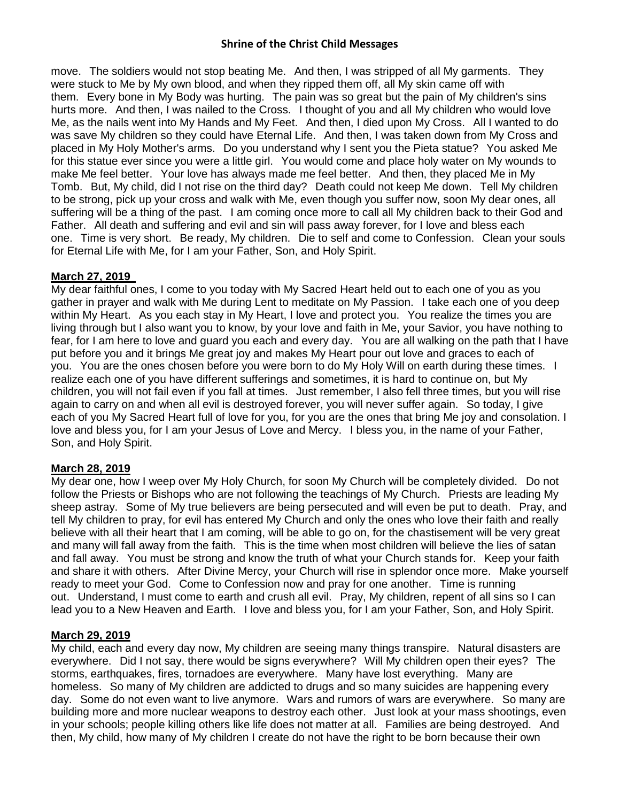move. The soldiers would not stop beating Me. And then, I was stripped of all My garments. They were stuck to Me by My own blood, and when they ripped them off, all My skin came off with them. Every bone in My Body was hurting. The pain was so great but the pain of My children's sins hurts more. And then, I was nailed to the Cross. I thought of you and all My children who would love Me, as the nails went into My Hands and My Feet. And then, I died upon My Cross. All I wanted to do was save My children so they could have Eternal Life. And then, I was taken down from My Cross and placed in My Holy Mother's arms. Do you understand why I sent you the Pieta statue? You asked Me for this statue ever since you were a little girl. You would come and place holy water on My wounds to make Me feel better. Your love has always made me feel better. And then, they placed Me in My Tomb. But, My child, did I not rise on the third day? Death could not keep Me down. Tell My children to be strong, pick up your cross and walk with Me, even though you suffer now, soon My dear ones, all suffering will be a thing of the past. I am coming once more to call all My children back to their God and Father. All death and suffering and evil and sin will pass away forever, for I love and bless each one. Time is very short. Be ready, My children. Die to self and come to Confession. Clean your souls for Eternal Life with Me, for I am your Father, Son, and Holy Spirit.

### **March 27, 2019**

My dear faithful ones, I come to you today with My Sacred Heart held out to each one of you as you gather in prayer and walk with Me during Lent to meditate on My Passion. I take each one of you deep within My Heart. As you each stay in My Heart, I love and protect you. You realize the times you are living through but I also want you to know, by your love and faith in Me, your Savior, you have nothing to fear, for I am here to love and guard you each and every day. You are all walking on the path that I have put before you and it brings Me great joy and makes My Heart pour out love and graces to each of you. You are the ones chosen before you were born to do My Holy Will on earth during these times. I realize each one of you have different sufferings and sometimes, it is hard to continue on, but My children, you will not fail even if you fall at times. Just remember, I also fell three times, but you will rise again to carry on and when all evil is destroyed forever, you will never suffer again. So today, I give each of you My Sacred Heart full of love for you, for you are the ones that bring Me joy and consolation. I love and bless you, for I am your Jesus of Love and Mercy. I bless you, in the name of your Father, Son, and Holy Spirit.

## **March 28, 2019**

My dear one, how I weep over My Holy Church, for soon My Church will be completely divided. Do not follow the Priests or Bishops who are not following the teachings of My Church. Priests are leading My sheep astray. Some of My true believers are being persecuted and will even be put to death. Pray, and tell My children to pray, for evil has entered My Church and only the ones who love their faith and really believe with all their heart that I am coming, will be able to go on, for the chastisement will be very great and many will fall away from the faith. This is the time when most children will believe the lies of satan and fall away. You must be strong and know the truth of what your Church stands for. Keep your faith and share it with others. After Divine Mercy, your Church will rise in splendor once more. Make yourself ready to meet your God. Come to Confession now and pray for one another. Time is running out. Understand, I must come to earth and crush all evil. Pray, My children, repent of all sins so I can lead you to a New Heaven and Earth. I love and bless you, for I am your Father, Son, and Holy Spirit.

## **March 29, 2019**

My child, each and every day now, My children are seeing many things transpire. Natural disasters are everywhere. Did I not say, there would be signs everywhere? Will My children open their eyes? The storms, earthquakes, fires, tornadoes are everywhere. Many have lost everything. Many are homeless. So many of My children are addicted to drugs and so many suicides are happening every day. Some do not even want to live anymore. Wars and rumors of wars are everywhere. So many are building more and more nuclear weapons to destroy each other. Just look at your mass shootings, even in your schools; people killing others like life does not matter at all. Families are being destroyed. And then, My child, how many of My children I create do not have the right to be born because their own